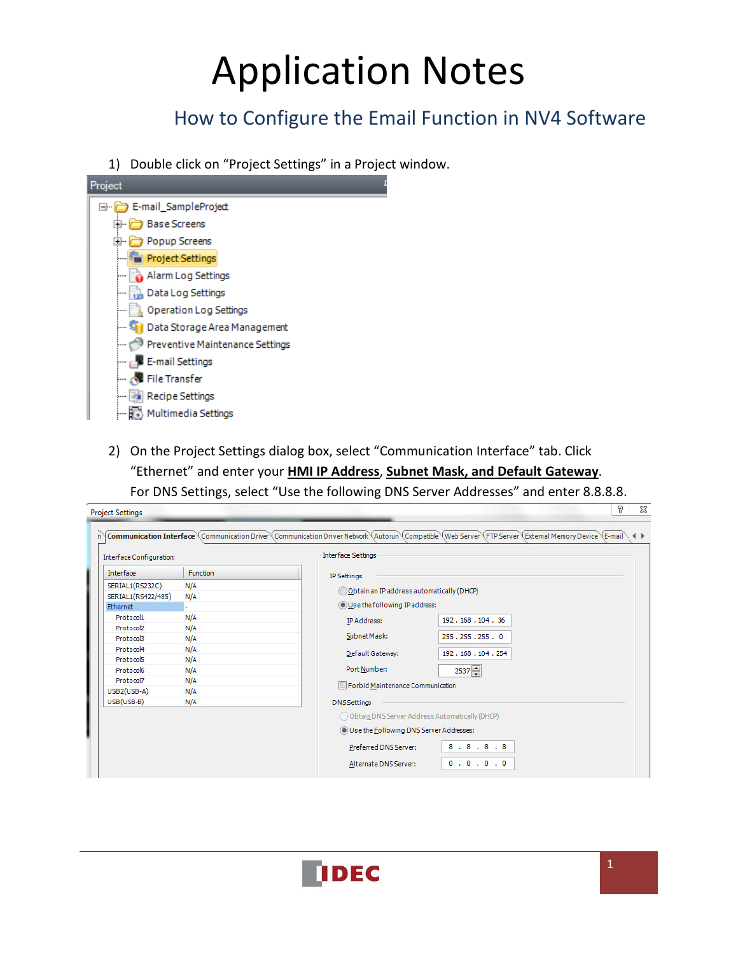# Application Notes

## How to Configure the Email Function in NV4 Software

1) Double click on "Project Settings" in a Project window.



2) On the Project Settings dialog box, select "Communication Interface" tab. Click "Ethernet" and enter your **HMI IP Address**, **Subnet Mask, and Default Gateway**. For DNS Settings, select "Use the following DNS Server Addresses" and enter 8.8.8.8.

| Interface Configuration: |                 | <b>Interface Settings</b>                   |                                                  |  |  |  |  |
|--------------------------|-----------------|---------------------------------------------|--------------------------------------------------|--|--|--|--|
| Interface                | <b>Function</b> | IP Settings                                 |                                                  |  |  |  |  |
| SERIAL1(RS232C)          | N/A             | © Obtain an IP address automatically (DHCP) |                                                  |  |  |  |  |
| SERIAL1(RS422/485)       | N/A             |                                             |                                                  |  |  |  |  |
| Ethernet                 |                 | Use the following IP address:               |                                                  |  |  |  |  |
| Protocol1                | N/A             | IP Address:                                 | 192, 168, 104, 36                                |  |  |  |  |
| Protocol2                | N/A             |                                             |                                                  |  |  |  |  |
| Protocol3                | N/A             | Subnet Mask:                                | 255.255.255.0                                    |  |  |  |  |
| Protocol4                | N/A             | Default Gateway:                            | 192.168.104.254                                  |  |  |  |  |
| Protocol5                | N/A             |                                             |                                                  |  |  |  |  |
| Protocol6                | N/A             | Port Number:                                | $2537 -$                                         |  |  |  |  |
| Protocol7                | N/A             | Forbid Maintenance Communication            |                                                  |  |  |  |  |
| USB2(USB-A)              | N/A             |                                             |                                                  |  |  |  |  |
| USB(USB-B)               | N/A             | <b>DNS Settings</b>                         |                                                  |  |  |  |  |
|                          |                 |                                             | O Obtain DNS Server Address Automatically (DHCP) |  |  |  |  |
|                          |                 |                                             | <b>O</b> Use the Following DNS Server Addresses: |  |  |  |  |
|                          |                 | Preferred DNS Server:                       | 8.8.8.8                                          |  |  |  |  |
|                          |                 |                                             |                                                  |  |  |  |  |

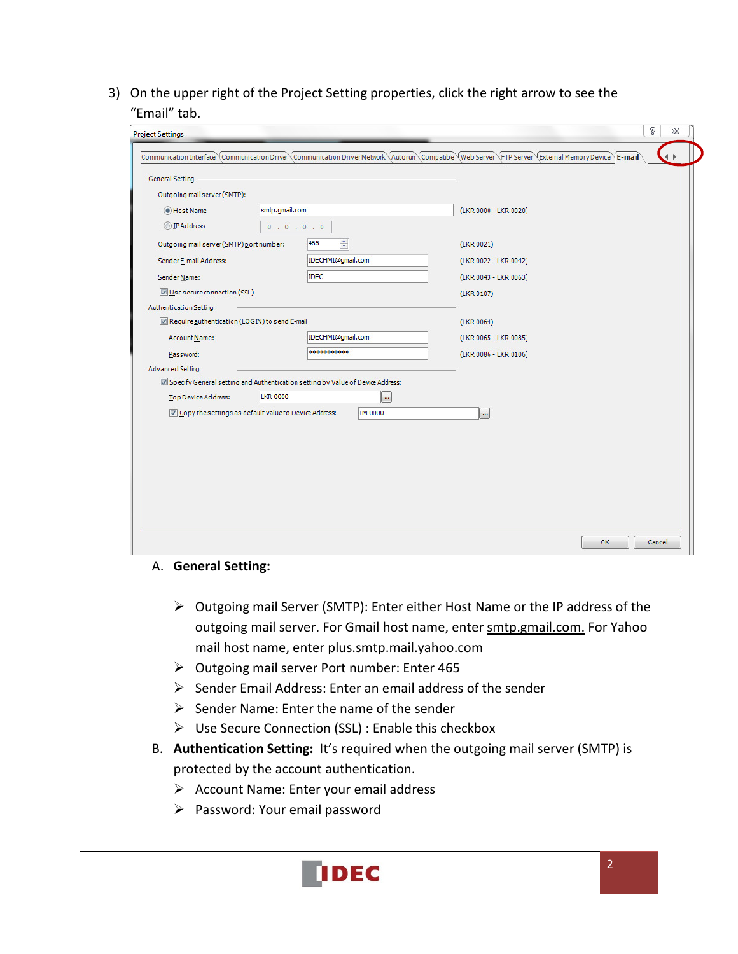3) On the upper right of the Project Setting properties, click the right arrow to see the "Email" tab.

| <b>General Setting</b>                                |                 |                                                                                |                       |  |
|-------------------------------------------------------|-----------------|--------------------------------------------------------------------------------|-----------------------|--|
| Outgoing mailserver (SMTP):                           |                 |                                                                                |                       |  |
| O Host Name                                           | smtp.gmail.com  |                                                                                | (LKR 0000 - LKR 0020) |  |
| O IP Address                                          | 0.0.0.0.0       |                                                                                |                       |  |
| Outgoing mail server (SMTP) port number:              |                 | ÷<br>465                                                                       | (LKR 0021)            |  |
| Sender E-mail Address:                                |                 | IDECHMI@gmail.com                                                              | (LKR 0022 - LKR 0042) |  |
| Sender Name:                                          |                 | <b>IDEC</b>                                                                    | (LKR 0043 - LKR 0063) |  |
| Use secure connection (SSL)                           |                 |                                                                                | (LKR 0107)            |  |
| <b>Authentication Setting</b>                         |                 |                                                                                |                       |  |
| Require authentication (LOGIN) to send E-mail         |                 |                                                                                | (LKR 0064)            |  |
| Account Name:                                         |                 | IDECHMI@gmail.com                                                              | (LKR 0065 - LKR 0085) |  |
| Password:                                             |                 | ***********                                                                    | (LKR 0086 - LKR 0106) |  |
| <b>Advanced Setting</b>                               |                 |                                                                                |                       |  |
|                                                       | <b>LKR 0000</b> | Specify General setting and Authentication setting by Value of Device Address: |                       |  |
| <b>Top Device Address:</b>                            |                 | $\ddot{\phantom{a}}$                                                           |                       |  |
| Copy the settings as default value to Device Address: |                 | LM 0000                                                                        | $\cdots$              |  |
|                                                       |                 |                                                                                |                       |  |
|                                                       |                 |                                                                                |                       |  |
|                                                       |                 |                                                                                |                       |  |
|                                                       |                 |                                                                                |                       |  |
|                                                       |                 |                                                                                |                       |  |

#### A. **General Setting:**

- Outgoing mail Server (SMTP): Enter either Host Name or the IP address of the outgoing mail server. For Gmail host name, enter smtp.gmail.com. For Yahoo mail host name, enter plus.smtp.mail.yahoo.com
- $\triangleright$  Outgoing mail server Port number: Enter 465
- $\triangleright$  Sender Email Address: Enter an email address of the sender
- $\triangleright$  Sender Name: Enter the name of the sender
- Use Secure Connection (SSL) : Enable this checkbox
- B. **Authentication Setting:** It's required when the outgoing mail server (SMTP) is protected by the account authentication.
	- $\triangleright$  Account Name: Enter your email address
	- $\triangleright$  Password: Your email password

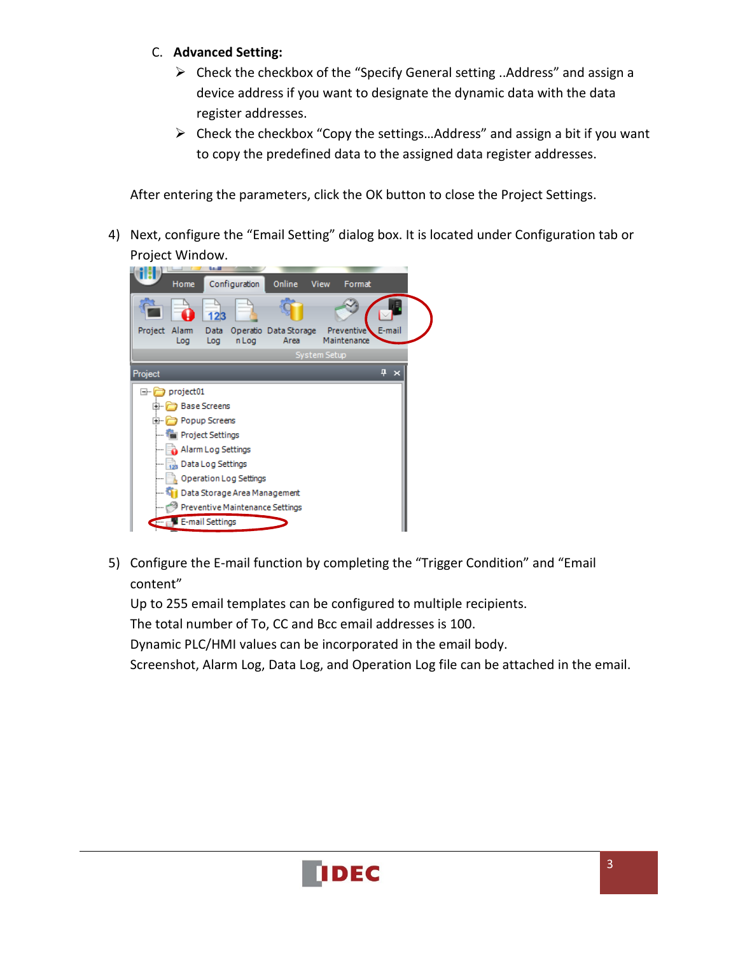### C. **Advanced Setting:**

- $\triangleright$  Check the checkbox of the "Specify General setting ..Address" and assign a device address if you want to designate the dynamic data with the data register addresses.
- $\triangleright$  Check the checkbox "Copy the settings... Address" and assign a bit if you want to copy the predefined data to the assigned data register addresses.

After entering the parameters, click the OK button to close the Project Settings.

4) Next, configure the "Email Setting" dialog box. It is located under Configuration tab or Project Window.



5) Configure the E-mail function by completing the "Trigger Condition" and "Email content"

Up to 255 email templates can be configured to multiple recipients. The total number of To, CC and Bcc email addresses is 100. Dynamic PLC/HMI values can be incorporated in the email body.

Screenshot, Alarm Log, Data Log, and Operation Log file can be attached in the email.

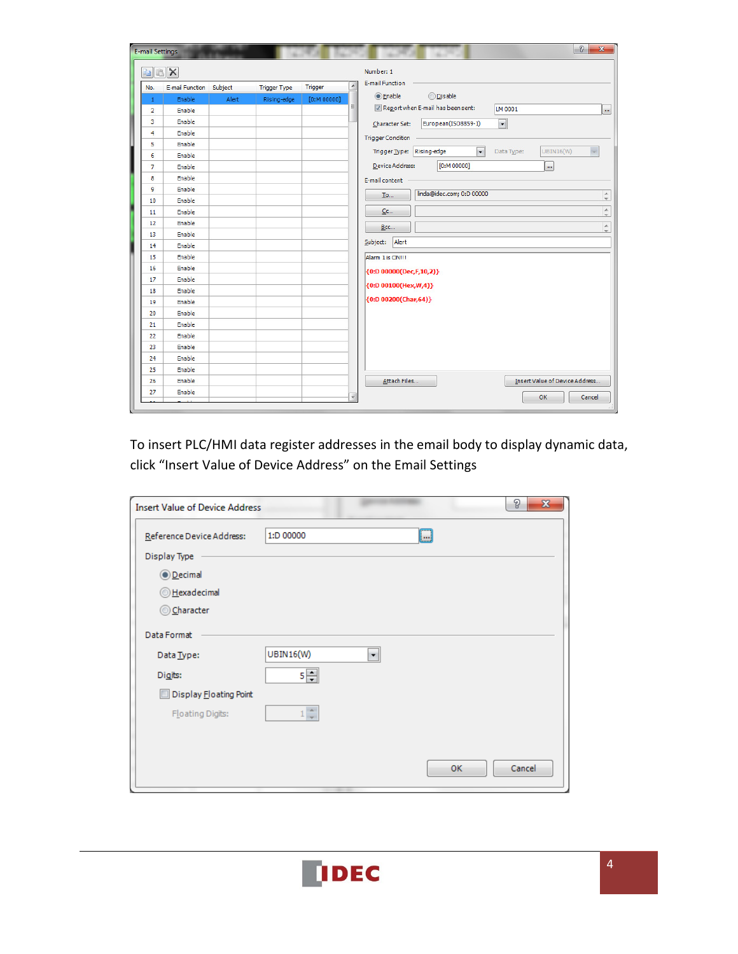| <b>E-mail Settings</b> |                         |       |                     |                |   | $\sqrt{2}$<br>$\mathbf{x}$                                                              |
|------------------------|-------------------------|-------|---------------------|----------------|---|-----------------------------------------------------------------------------------------|
|                        | a B X<br>Number: 1      |       |                     |                |   |                                                                                         |
| No.                    | E-mail Function Subject |       | <b>Trigger Type</b> | <b>Trigger</b> | A | <b>E-mail Function</b>                                                                  |
| $\mathbf{1}$           | Enable                  | Alert | Rising-edge         | [0:M 00000]    |   | <b>O</b> Enable<br><b>ODisable</b>                                                      |
| $\overline{2}$         | <b>Enable</b>           |       |                     |                | Ξ | Report when E-mail has been sent:<br>LM 0001<br>m                                       |
| 3                      | Enable                  |       |                     |                |   | $\overline{\phantom{0}}$<br>European(ISO8859-1)<br>Character Set:                       |
| 4                      | Enable                  |       |                     |                |   | <b>Trigger Condition</b>                                                                |
| 5                      | Enable                  |       |                     |                |   |                                                                                         |
| 6                      | Enable                  |       |                     |                |   | $\overline{\phantom{0}}$<br><b>UBIN16(W)</b><br>Trigger Type: Rising-edge<br>Data Type: |
| $\overline{7}$         | Enable                  |       |                     |                |   | [0:M 00000]<br>Device Address:<br>$\overline{\phantom{a}}$                              |
| 8                      | Enable                  |       |                     |                |   | E-mail content                                                                          |
| 9                      | Enable                  |       |                     |                |   | linda@idec.com; 0:D 00000                                                               |
| 10                     | Enable                  |       |                     |                |   | $\hat{=}$<br><b>To</b>                                                                  |
| 11                     | Enable                  |       |                     |                |   | $\hat{=}$<br>Cc                                                                         |
| 12                     | Enable                  |       |                     |                |   | $\blacktriangle$<br>Bcc                                                                 |
| 13                     | Enable                  |       |                     |                |   |                                                                                         |
| 14                     | Enable                  |       |                     |                |   | Alert<br>Subject:                                                                       |
| 15                     | Enable                  |       |                     |                |   | Alarm 1 is ON !!!                                                                       |
| 16                     | Enable                  |       |                     |                |   | {0:D 00000(Dec,F,10,2)}                                                                 |
| 17                     | Enable                  |       |                     |                |   |                                                                                         |
| 18                     | Enable                  |       |                     |                |   | {0:D 00100(Hex, W, 4)}                                                                  |
| 19                     | Enable                  |       |                     |                |   | {0:D 00200(Char,64)}                                                                    |
| 20                     | Enable                  |       |                     |                |   |                                                                                         |
| 21                     | Enable                  |       |                     |                |   |                                                                                         |
| 22                     | Enable                  |       |                     |                |   |                                                                                         |
| 23                     | Enable                  |       |                     |                |   |                                                                                         |
| 24                     | Enable                  |       |                     |                |   |                                                                                         |
| 25                     | Enable                  |       |                     |                |   |                                                                                         |
| 26                     | Enable                  |       |                     |                |   | Insert Value of Device Address<br>Attach Files                                          |
| 27                     | Enable                  |       |                     |                |   | OK<br>Cancel                                                                            |
|                        |                         |       |                     |                |   |                                                                                         |

To insert PLC/HMI data register addresses in the email body to display dynamic data, click "Insert Value of Device Address" on the Email Settings

| <b>Insert Value of Device Address</b> |                                    | P      | $\mathbf{x}$ |
|---------------------------------------|------------------------------------|--------|--------------|
| Reference Device Address:             | $\square$<br>1:D 00000             |        |              |
| Display Type                          |                                    |        |              |
| <b>O</b> Decimal                      |                                    |        |              |
| Hexadecimal                           |                                    |        |              |
| © Character                           |                                    |        |              |
| Data Format                           |                                    |        |              |
| Data Type:                            | <b>UBIN16(W)</b><br>$\blacksquare$ |        |              |
| Digits:                               | $5 -$                              |        |              |
| Display Floating Point                |                                    |        |              |
| Floating Digits:                      | $1\frac{4}{7}$                     |        |              |
|                                       |                                    |        |              |
|                                       | <b>OK</b>                          | Cancel |              |

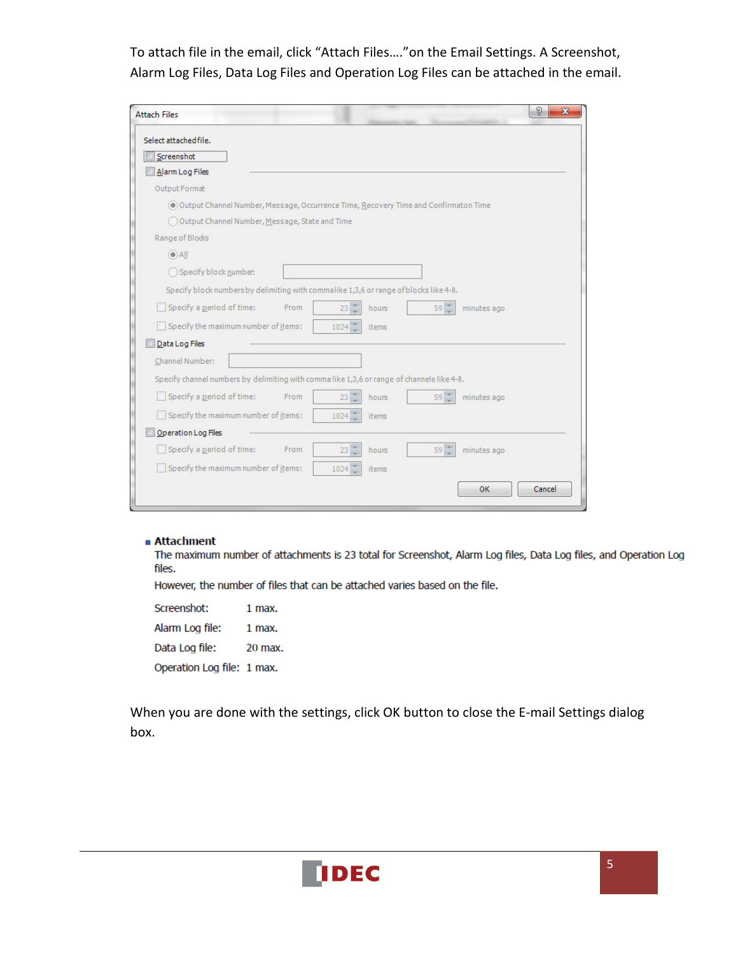To attach file in the email, click "Attach Files…."on the Email Settings. A Screenshot, Alarm Log Files, Data Log Files and Operation Log Files can be attached in the email.

| <b>Attach Files</b>                                                                        |                                                 |        |             | P<br>$\mathbf{x}$ |
|--------------------------------------------------------------------------------------------|-------------------------------------------------|--------|-------------|-------------------|
| Select attached file.                                                                      |                                                 |        |             |                   |
| Screenshot                                                                                 |                                                 |        |             |                   |
| Alarm Log Files                                                                            |                                                 |        |             |                   |
| Output Format                                                                              |                                                 |        |             |                   |
| O Output Channel Number, Message, Occurrence Time, Recovery Time and Confirmaton Time      |                                                 |        |             |                   |
| O Output Channel Number, Message, State and Time                                           |                                                 |        |             |                   |
| Range of Blocks                                                                            |                                                 |        |             |                   |
| $\odot$ All                                                                                |                                                 |        |             |                   |
| Specify block number:                                                                      |                                                 |        |             |                   |
| Specify block numbers by delimiting with commalike 1,3,6 or range of blocks like 4-8.      |                                                 |        |             |                   |
| Specify a period of time:<br>From                                                          | $23 -$<br>hours                                 | $59 -$ | minutes ago |                   |
| Specify the maximum number of items:                                                       | $1024$ $-$<br>items                             |        |             |                   |
| Data Log Files                                                                             |                                                 |        |             |                   |
| Channel Number:                                                                            |                                                 |        |             |                   |
| Specify channel numbers by delimiting with comma like 1,3,6 or range of channels like 4-8. |                                                 |        |             |                   |
| Specify a period of time:<br>From                                                          | $23$ $\degree$<br>hours                         | $59 -$ | minutes ago |                   |
| Specify the maximum number of items:                                                       | $1024$ $-$<br>items                             |        |             |                   |
| Operation Log Files                                                                        |                                                 |        |             |                   |
| Specify a period of time:<br>From                                                          | $23 -$<br>hours                                 | $59 -$ | minutes ago |                   |
| Specify the maximum number of items:                                                       | $1024$ <sup><math>\degree</math></sup><br>items |        |             |                   |
|                                                                                            |                                                 |        | OK          | Cancel            |
|                                                                                            |                                                 |        |             |                   |

#### ■ Attachment

The maximum number of attachments is 23 total for Screenshot, Alarm Log files, Data Log files, and Operation Log files.

However, the number of files that can be attached varies based on the file.

Screenshot: 1 max. Alarm Log file: 1 max. Data Log file: 20 max. Operation Log file: 1 max.

When you are done with the settings, click OK button to close the E-mail Settings dialog box.